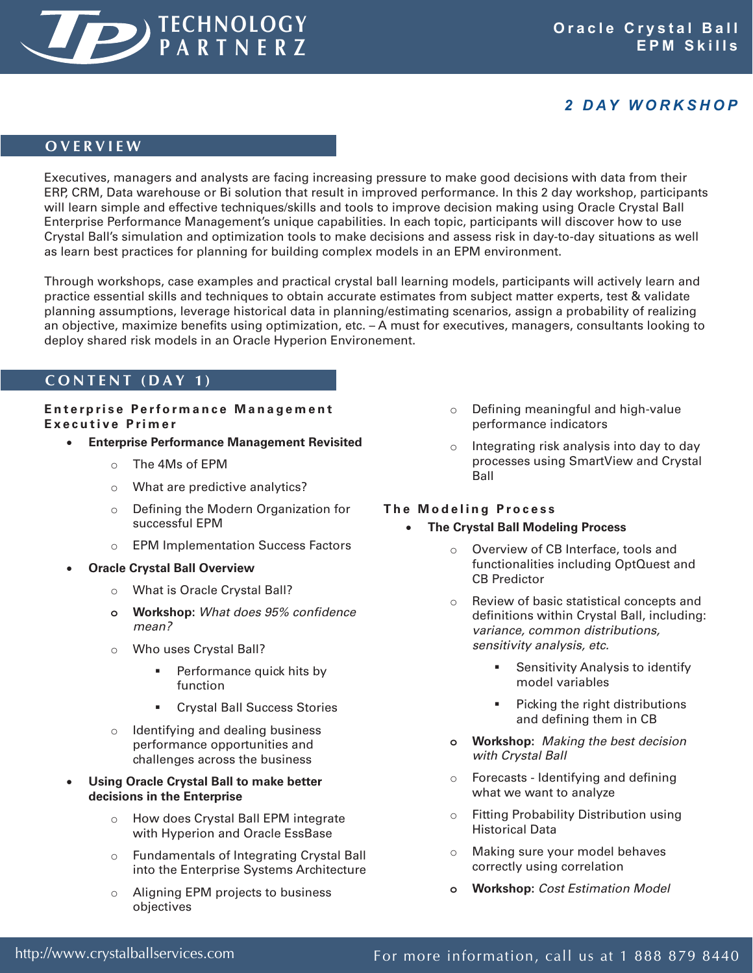

## *2 D AY W O R K S H O P*

### **O V E R V I E W**

Executives, managers and analysts are facing increasing pressure to make good decisions with data from their ERP, CRM, Data warehouse or Bi solution that result in improved performance. In this 2 day workshop, participants will learn simple and effective techniques/skills and tools to improve decision making using Oracle Crystal Ball Enterprise Performance Management's unique capabilities. In each topic, participants will discover how to use Crystal Ball's simulation and optimization tools to make decisions and assess risk in day-to-day situations as well as learn best practices for planning for building complex models in an EPM environment.

Through workshops, case examples and practical crystal ball learning models, participants will actively learn and practice essential skills and techniques to obtain accurate estimates from subject matter experts, test & validate planning assumptions, leverage historical data in planning/estimating scenarios, assign a probability of realizing an objective, maximize benefits using optimization, etc. – A must for executives, managers, consultants looking to deploy shared risk models in an Oracle Hyperion Environement.

### **C O N T E N T ( D A Y 1 )**

### **Enterprise Performance Management E x e c u t i v e P r i m e r**

- **Enterprise Performance Management Revisited** 
	- $\circ$  The 4Ms of EPM
	- $\circ$  What are predictive analytics?
	- o Defining the Modern Organization for successful EPM
	- o EPM Implementation Success Factors
- **Oracle Crystal Ball Overview** 
	- o What is Oracle Crystal Ball?
	- **o Workshop:** *What does 95% confidence mean?*
	- o Who uses Crystal Ball?
		- **Performance quick hits by** function
		- **Crystal Ball Success Stories**
	- $\circ$  Identifying and dealing business performance opportunities and challenges across the business
- **Using Oracle Crystal Ball to make better decisions in the Enterprise**
	- o How does Crystal Ball EPM integrate with Hyperion and Oracle EssBase
	- o Fundamentals of Integrating Crystal Ball into the Enterprise Systems Architecture
	- o Aligning EPM projects to business objectives
- o Defining meaningful and high-value performance indicators
- Integrating risk analysis into day to day processes using SmartView and Crystal Ball

#### **The Modeling Process**

- **The Crystal Ball Modeling Process** 
	- o Overview of CB Interface, tools and functionalities including OptQuest and CB Predictor
	- o Review of basic statistical concepts and definitions within Crystal Ball, including: *variance, common distributions, sensitivity analysis, etc.*
		- Sensitivity Analysis to identify model variables
		- Picking the right distributions and defining them in CB
	- **o Workshop:** *Making the best decision with Crystal Ball*
	- $\circ$  Forecasts Identifying and defining what we want to analyze
	- $\circ$  Fitting Probability Distribution using Historical Data
	- o Making sure your model behaves correctly using correlation
	- **o Workshop:** *Cost Estimation Model*